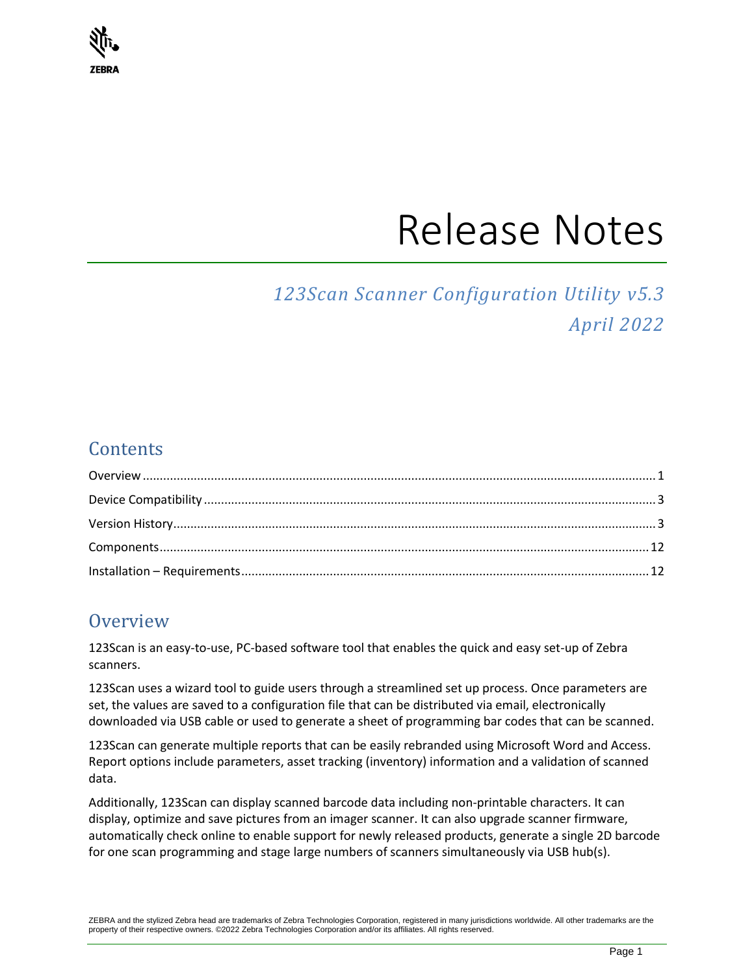

# Release Notes

# *123Scan Scanner Configuration Utility v5.3 April 2022*

# **Contents**

# <span id="page-0-0"></span>**Overview**

123Scan is an easy-to-use, PC-based software tool that enables the quick and easy set-up of Zebra scanners.

123Scan uses a wizard tool to guide users through a streamlined set up process. Once parameters are set, the values are saved to a configuration file that can be distributed via email, electronically downloaded via USB cable or used to generate a sheet of programming bar codes that can be scanned.

123Scan can generate multiple reports that can be easily rebranded using Microsoft Word and Access. Report options include parameters, asset tracking (inventory) information and a validation of scanned data.

Additionally, 123Scan can display scanned barcode data including non-printable characters. It can display, optimize and save pictures from an imager scanner. It can also upgrade scanner firmware, automatically check online to enable support for newly released products, generate a single 2D barcode for one scan programming and stage large numbers of scanners simultaneously via USB hub(s).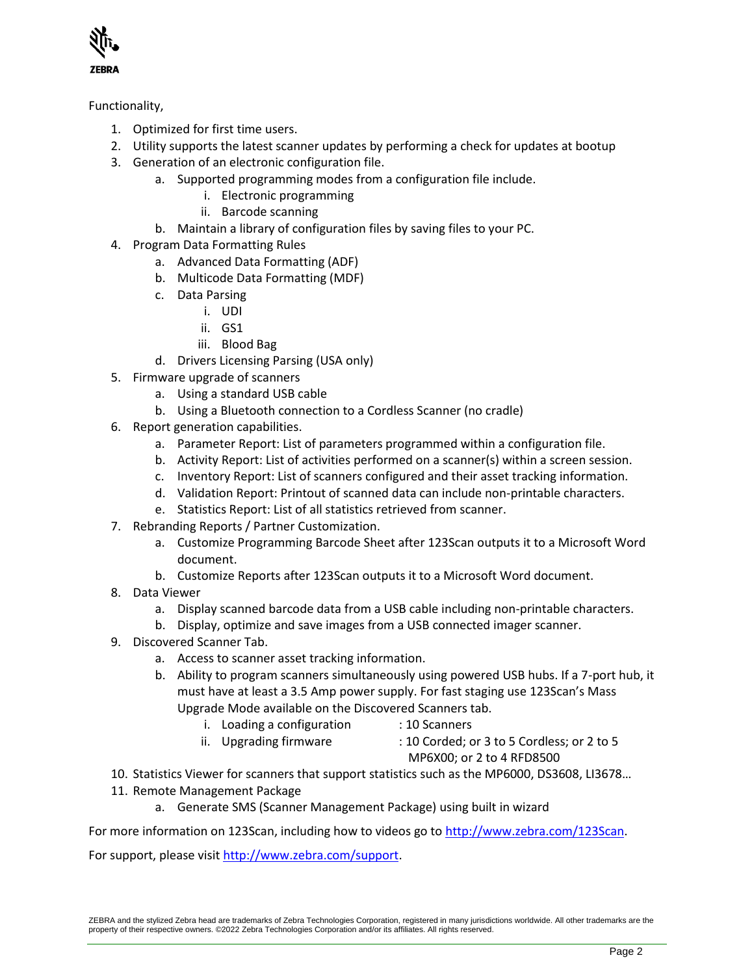

#### Functionality,

- 1. Optimized for first time users.
- 2. Utility supports the latest scanner updates by performing a check for updates at bootup
- 3. Generation of an electronic configuration file.
	- a. Supported programming modes from a configuration file include.
		- i. Electronic programming
		- ii. Barcode scanning
		- b. Maintain a library of configuration files by saving files to your PC.
- 4. Program Data Formatting Rules
	- a. Advanced Data Formatting (ADF)
	- b. Multicode Data Formatting (MDF)
	- c. Data Parsing
		- i. UDI
		- ii. GS1
		- iii. Blood Bag
	- d. Drivers Licensing Parsing (USA only)
- 5. Firmware upgrade of scanners
	- a. Using a standard USB cable
	- b. Using a Bluetooth connection to a Cordless Scanner (no cradle)
- 6. Report generation capabilities.
	- a. Parameter Report: List of parameters programmed within a configuration file.
	- b. Activity Report: List of activities performed on a scanner(s) within a screen session.
	- c. Inventory Report: List of scanners configured and their asset tracking information.
	- d. Validation Report: Printout of scanned data can include non-printable characters.
	- e. Statistics Report: List of all statistics retrieved from scanner.
- 7. Rebranding Reports / Partner Customization.
	- a. Customize Programming Barcode Sheet after 123Scan outputs it to a Microsoft Word document.
	- b. Customize Reports after 123Scan outputs it to a Microsoft Word document.
- 8. Data Viewer
	- a. Display scanned barcode data from a USB cable including non-printable characters.
	- b. Display, optimize and save images from a USB connected imager scanner.
- 9. Discovered Scanner Tab.
	- a. Access to scanner asset tracking information.
	- b. Ability to program scanners simultaneously using powered USB hubs. If a 7-port hub, it must have at least a 3.5 Amp power supply. For fast staging use 123Scan's Mass Upgrade Mode available on the Discovered Scanners tab.
		- i. Loading a configuration : 10 Scanners
			-
		- ii. Upgrading firmware  $\qquad \qquad$ : 10 Corded; or 3 to 5 Cordless; or 2 to 5 MP6X00; or 2 to 4 RFD8500
- 10. Statistics Viewer for scanners that support statistics such as the MP6000, DS3608, LI3678…
- 11. Remote Management Package
	- a. Generate SMS (Scanner Management Package) using built in wizard

For more information on 123Scan, including how to videos go t[o http://www.zebra.com/123Scan.](http://www.zebra.com/123Scan)

For support, please visit [http://www.zebra.com/support.](http://www.zebra.com/support)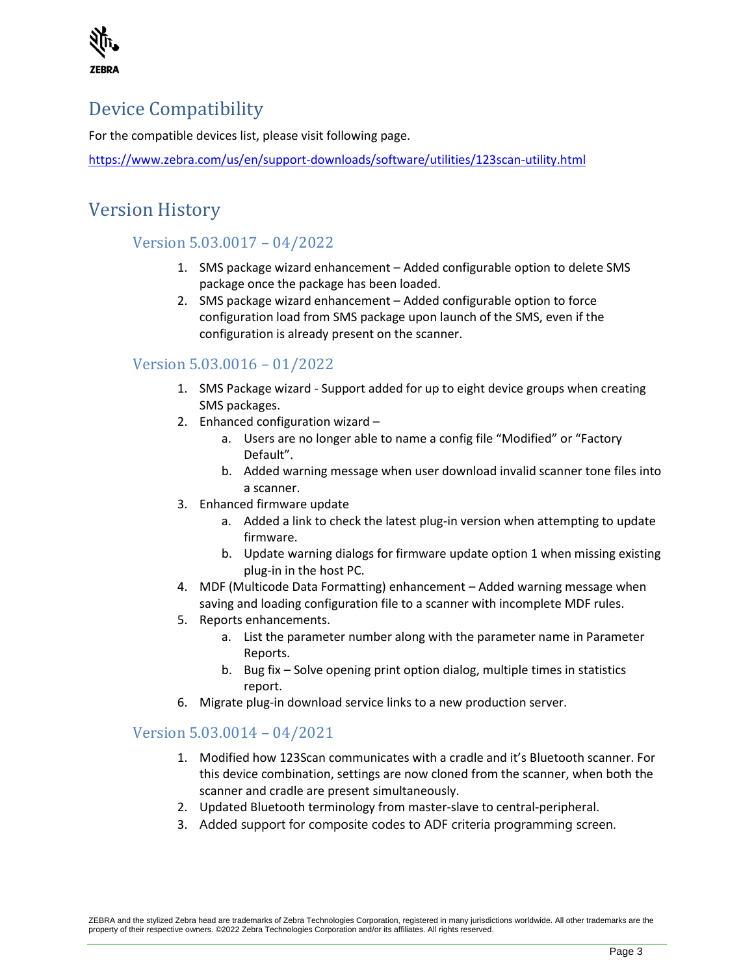

# <span id="page-2-0"></span>Device Compatibility

For the compatible devices list, please visit following page.

<https://www.zebra.com/us/en/support-downloads/software/utilities/123scan-utility.html>

# <span id="page-2-1"></span>Version History

# Version 5.03.0017 – 04/2022

- 1. SMS package wizard enhancement Added configurable option to delete SMS package once the package has been loaded.
- 2. SMS package wizard enhancement Added configurable option to force configuration load from SMS package upon launch of the SMS, even if the configuration is already present on the scanner.

# Version 5.03.0016 – 01/2022

- 1. SMS Package wizard Support added for up to eight device groups when creating SMS packages.
- 2. Enhanced configuration wizard
	- a. Users are no longer able to name a config file "Modified" or "Factory Default".
	- b. Added warning message when user download invalid scanner tone files into a scanner.
- 3. Enhanced firmware update
	- a. Added a link to check the latest plug-in version when attempting to update firmware.
	- b. Update warning dialogs for firmware update option 1 when missing existing plug-in in the host PC.
- 4. MDF (Multicode Data Formatting) enhancement Added warning message when saving and loading configuration file to a scanner with incomplete MDF rules.
- 5. Reports enhancements.
	- a. List the parameter number along with the parameter name in Parameter Reports.
	- b. Bug fix Solve opening print option dialog, multiple times in statistics report.
- 6. Migrate plug-in download service links to a new production server.

# Version 5.03.0014 – 04/2021

- 1. Modified how 123Scan communicates with a cradle and it's Bluetooth scanner. For this device combination, settings are now cloned from the scanner, when both the scanner and cradle are present simultaneously.
- 2. Updated Bluetooth terminology from master-slave to central-peripheral.
- 3. Added support for composite codes to ADF criteria programming screen.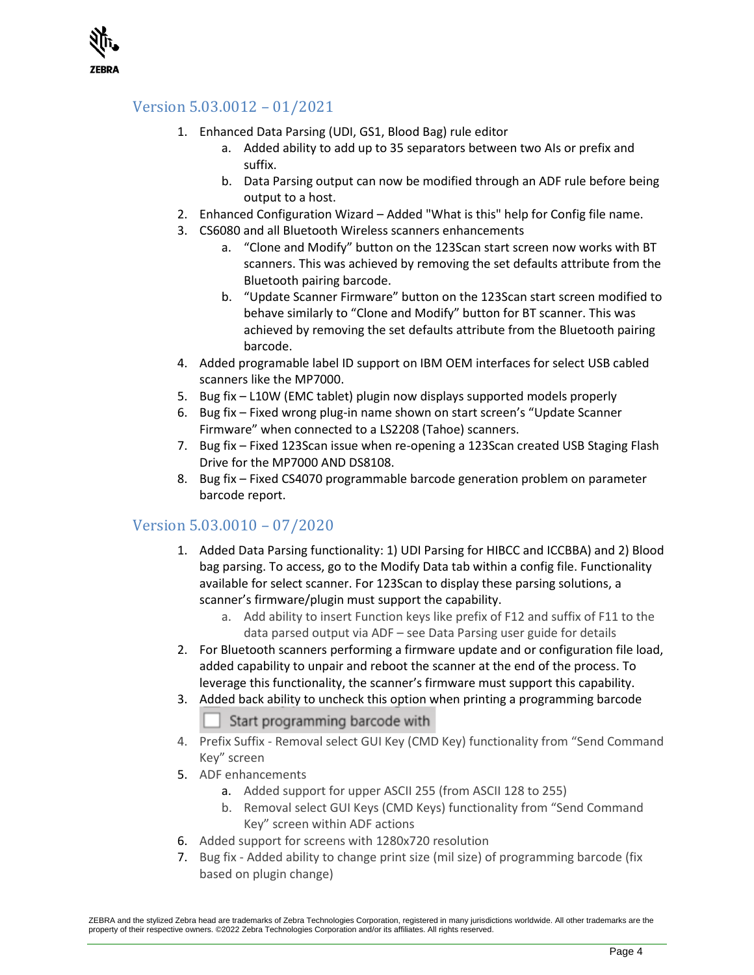

# Version 5.03.0012 – 01/2021

- 1. Enhanced Data Parsing (UDI, GS1, Blood Bag) rule editor
	- a. Added ability to add up to 35 separators between two AIs or prefix and suffix.
	- b. Data Parsing output can now be modified through an ADF rule before being output to a host.
- 2. Enhanced Configuration Wizard Added "What is this" help for Config file name.
- 3. CS6080 and all Bluetooth Wireless scanners enhancements
	- a. "Clone and Modify" button on the 123Scan start screen now works with BT scanners. This was achieved by removing the set defaults attribute from the Bluetooth pairing barcode.
	- b. "Update Scanner Firmware" button on the 123Scan start screen modified to behave similarly to "Clone and Modify" button for BT scanner. This was achieved by removing the set defaults attribute from the Bluetooth pairing barcode.
- 4. Added programable label ID support on IBM OEM interfaces for select USB cabled scanners like the MP7000.
- 5. Bug fix L10W (EMC tablet) plugin now displays supported models properly
- 6. Bug fix Fixed wrong plug-in name shown on start screen's "Update Scanner Firmware" when connected to a LS2208 (Tahoe) scanners.
- 7. Bug fix Fixed 123Scan issue when re-opening a 123Scan created USB Staging Flash Drive for the MP7000 AND DS8108.
- 8. Bug fix Fixed CS4070 programmable barcode generation problem on parameter barcode report.

# Version 5.03.0010 – 07/2020

- 1. Added Data Parsing functionality: 1) UDI Parsing for HIBCC and ICCBBA) and 2) Blood bag parsing. To access, go to the Modify Data tab within a config file. Functionality available for select scanner. For 123Scan to display these parsing solutions, a scanner's firmware/plugin must support the capability.
	- a. Add ability to insert Function keys like prefix of F12 and suffix of F11 to the data parsed output via ADF – see Data Parsing user guide for details
- 2. For Bluetooth scanners performing a firmware update and or configuration file load, added capability to unpair and reboot the scanner at the end of the process. To leverage this functionality, the scanner's firmware must support this capability.
- 3. Added back ability to uncheck this option when printing a programming barcode

Start programming barcode with

- 4. Prefix Suffix Removal select GUI Key (CMD Key) functionality from "Send Command Key" screen
- 5. ADF enhancements
	- a. Added support for upper ASCII 255 (from ASCII 128 to 255)
	- b. Removal select GUI Keys (CMD Keys) functionality from "Send Command Key" screen within ADF actions
- 6. Added support for screens with 1280x720 resolution
- 7. Bug fix Added ability to change print size (mil size) of programming barcode (fix based on plugin change)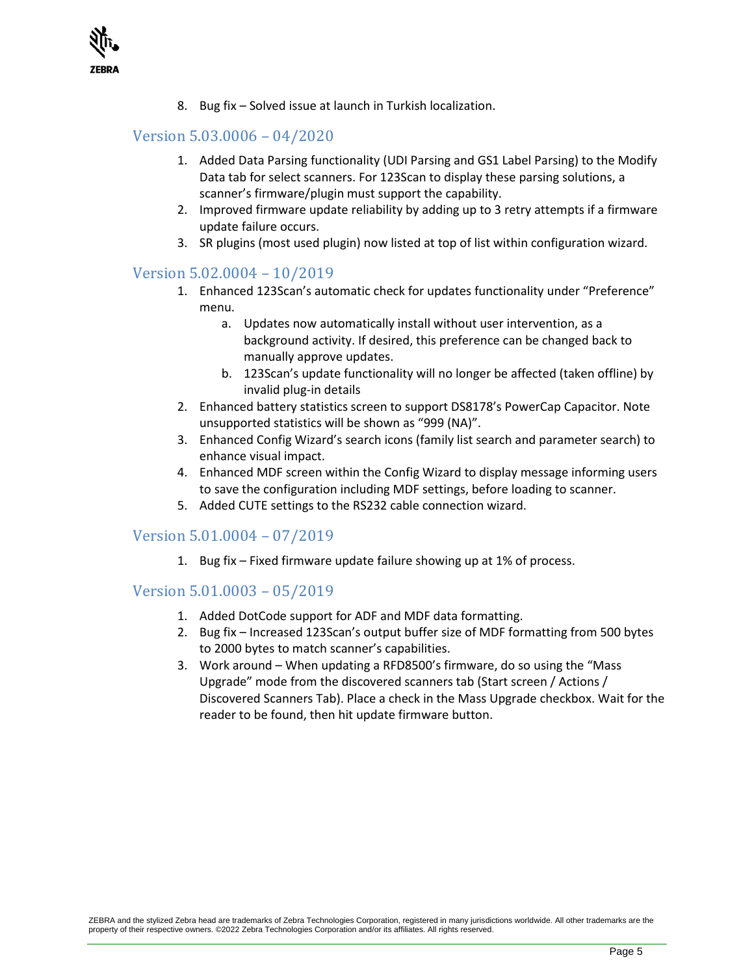

8. Bug fix – Solved issue at launch in Turkish localization.

#### Version 5.03.0006 – 04/2020

- 1. Added Data Parsing functionality (UDI Parsing and GS1 Label Parsing) to the Modify Data tab for select scanners. For 123Scan to display these parsing solutions, a scanner's firmware/plugin must support the capability.
- 2. Improved firmware update reliability by adding up to 3 retry attempts if a firmware update failure occurs.
- 3. SR plugins (most used plugin) now listed at top of list within configuration wizard.

#### Version 5.02.0004 – 10/2019

- 1. Enhanced 123Scan's automatic check for updates functionality under "Preference" menu.
	- a. Updates now automatically install without user intervention, as a background activity. If desired, this preference can be changed back to manually approve updates.
	- b. 123Scan's update functionality will no longer be affected (taken offline) by invalid plug-in details
- 2. Enhanced battery statistics screen to support DS8178's PowerCap Capacitor. Note unsupported statistics will be shown as "999 (NA)".
- 3. Enhanced Config Wizard's search icons (family list search and parameter search) to enhance visual impact.
- 4. Enhanced MDF screen within the Config Wizard to display message informing users to save the configuration including MDF settings, before loading to scanner.
- 5. Added CUTE settings to the RS232 cable connection wizard.

#### Version 5.01.0004 – 07/2019

1. Bug fix – Fixed firmware update failure showing up at 1% of process.

#### Version 5.01.0003 – 05/2019

- 1. Added DotCode support for ADF and MDF data formatting.
- 2. Bug fix Increased 123Scan's output buffer size of MDF formatting from 500 bytes to 2000 bytes to match scanner's capabilities.
- 3. Work around When updating a RFD8500's firmware, do so using the "Mass Upgrade" mode from the discovered scanners tab (Start screen / Actions / Discovered Scanners Tab). Place a check in the Mass Upgrade checkbox. Wait for the reader to be found, then hit update firmware button.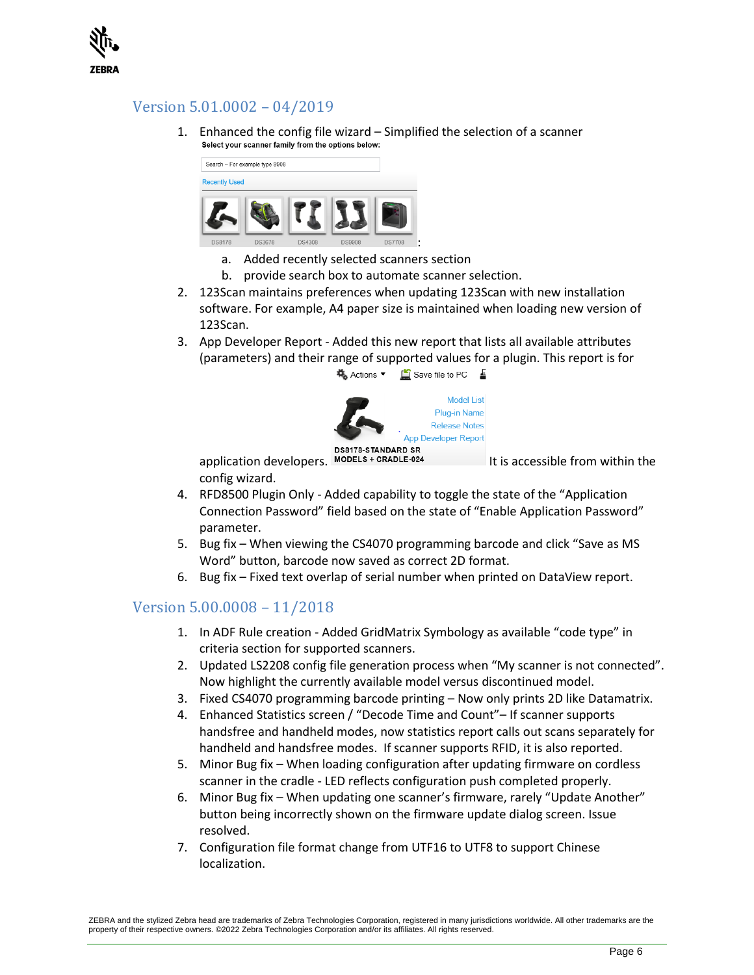

## Version 5.01.0002 – 04/2019

1. Enhanced the config file wizard  $-$  Simplified the selection of a scanner select your scanner family from the options below:



- a. Added recently selected scanners section
- b. provide search box to automate scanner selection.
- 2. 123Scan maintains preferences when updating 123Scan with new installation software. For example, A4 paper size is maintained when loading new version of 123Scan.
- 3. App Developer Report Added this new report that lists all available attributes (parameters) and their range of supported values for a plugin. This report is for 载 Actions ▼ 【 Save file to PC ■



config wizard.

- 4. RFD8500 Plugin Only Added capability to toggle the state of the "Application Connection Password" field based on the state of "Enable Application Password" parameter.
- 5. Bug fix When viewing the CS4070 programming barcode and click "Save as MS Word" button, barcode now saved as correct 2D format.
- 6. Bug fix Fixed text overlap of serial number when printed on DataView report.

#### Version 5.00.0008 – 11/2018

- 1. In ADF Rule creation Added GridMatrix Symbology as available "code type" in criteria section for supported scanners.
- 2. Updated LS2208 config file generation process when "My scanner is not connected". Now highlight the currently available model versus discontinued model.
- 3. Fixed CS4070 programming barcode printing Now only prints 2D like Datamatrix.
- 4. Enhanced Statistics screen / "Decode Time and Count"– If scanner supports handsfree and handheld modes, now statistics report calls out scans separately for handheld and handsfree modes. If scanner supports RFID, it is also reported.
- 5. Minor Bug fix When loading configuration after updating firmware on cordless scanner in the cradle - LED reflects configuration push completed properly.
- 6. Minor Bug fix When updating one scanner's firmware, rarely "Update Another" button being incorrectly shown on the firmware update dialog screen. Issue resolved.
- 7. Configuration file format change from UTF16 to UTF8 to support Chinese localization.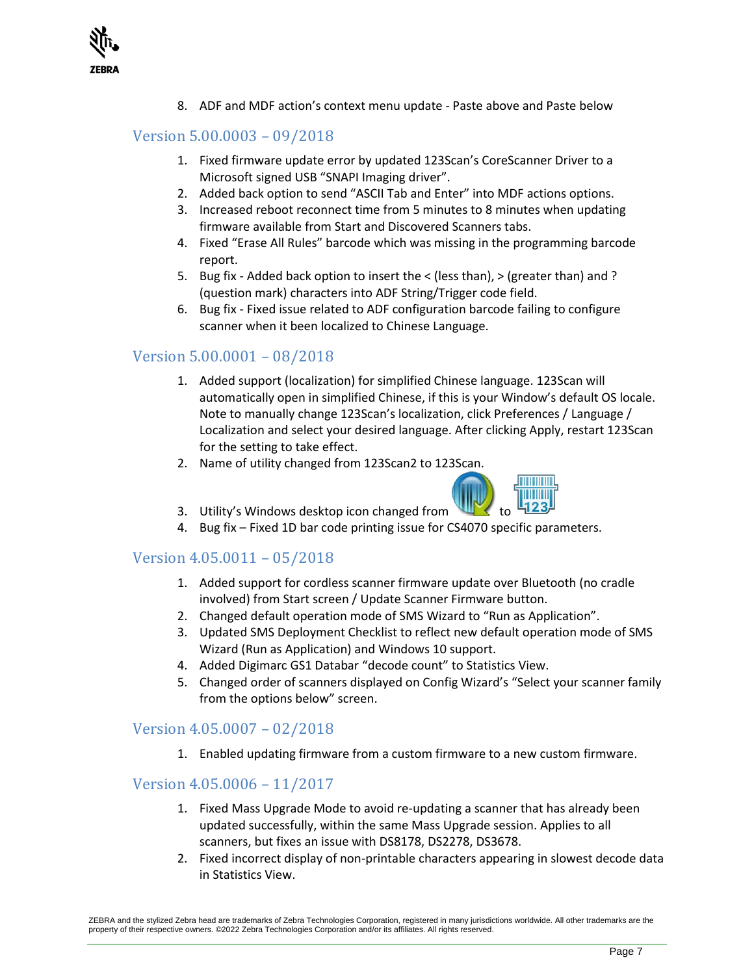

8. ADF and MDF action's context menu update - Paste above and Paste below

## Version 5.00.0003 – 09/2018

- 1. Fixed firmware update error by updated 123Scan's CoreScanner Driver to a Microsoft signed USB "SNAPI Imaging driver".
- 2. Added back option to send "ASCII Tab and Enter" into MDF actions options.
- 3. Increased reboot reconnect time from 5 minutes to 8 minutes when updating firmware available from Start and Discovered Scanners tabs.
- 4. Fixed "Erase All Rules" barcode which was missing in the programming barcode report.
- 5. Bug fix Added back option to insert the < (less than), > (greater than) and ? (question mark) characters into ADF String/Trigger code field.
- 6. Bug fix Fixed issue related to ADF configuration barcode failing to configure scanner when it been localized to Chinese Language.

#### Version 5.00.0001 – 08/2018

- 1. Added support (localization) for simplified Chinese language. 123Scan will automatically open in simplified Chinese, if this is your Window's default OS locale. Note to manually change 123Scan's localization, click Preferences / Language / Localization and select your desired language. After clicking Apply, restart 123Scan for the setting to take effect.
- 2. Name of utility changed from 123Scan2 to 123Scan.



- 3. Utility's Windows desktop icon changed from
- 4. Bug fix Fixed 1D bar code printing issue for CS4070 specific parameters.

#### Version 4.05.0011 – 05/2018

- 1. Added support for cordless scanner firmware update over Bluetooth (no cradle involved) from Start screen / Update Scanner Firmware button.
- 2. Changed default operation mode of SMS Wizard to "Run as Application".
- 3. Updated SMS Deployment Checklist to reflect new default operation mode of SMS Wizard (Run as Application) and Windows 10 support.
- 4. Added Digimarc GS1 Databar "decode count" to Statistics View.
- 5. Changed order of scanners displayed on Config Wizard's "Select your scanner family from the options below" screen.

#### Version 4.05.0007 – 02/2018

1. Enabled updating firmware from a custom firmware to a new custom firmware.

#### Version 4.05.0006 – 11/2017

- 1. Fixed Mass Upgrade Mode to avoid re-updating a scanner that has already been updated successfully, within the same Mass Upgrade session. Applies to all scanners, but fixes an issue with DS8178, DS2278, DS3678.
- 2. Fixed incorrect display of non-printable characters appearing in slowest decode data in Statistics View.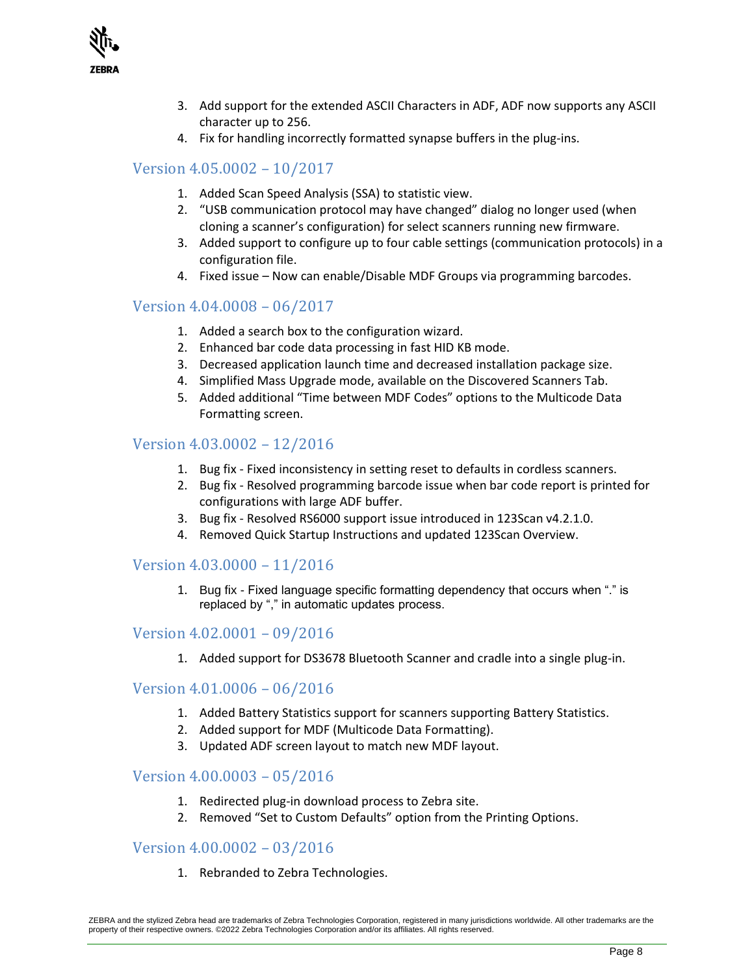

- 3. Add support for the extended ASCII Characters in ADF, ADF now supports any ASCII character up to 256.
- 4. Fix for handling incorrectly formatted synapse buffers in the plug-ins.

## Version 4.05.0002 – 10/2017

- 1. Added Scan Speed Analysis (SSA) to statistic view.
- 2. "USB communication protocol may have changed" dialog no longer used (when cloning a scanner's configuration) for select scanners running new firmware.
- 3. Added support to configure up to four cable settings (communication protocols) in a configuration file.
- 4. Fixed issue Now can enable/Disable MDF Groups via programming barcodes.

#### Version 4.04.0008 – 06/2017

- 1. Added a search box to the configuration wizard.
- 2. Enhanced bar code data processing in fast HID KB mode.
- 3. Decreased application launch time and decreased installation package size.
- 4. Simplified Mass Upgrade mode, available on the Discovered Scanners Tab.
- 5. Added additional "Time between MDF Codes" options to the Multicode Data Formatting screen.

#### Version 4.03.0002 – 12/2016

- 1. Bug fix Fixed inconsistency in setting reset to defaults in cordless scanners.
- 2. Bug fix Resolved programming barcode issue when bar code report is printed for configurations with large ADF buffer.
- 3. Bug fix Resolved RS6000 support issue introduced in 123Scan v4.2.1.0.
- 4. Removed Quick Startup Instructions and updated 123Scan Overview.

#### Version 4.03.0000 – 11/2016

1. Bug fix - Fixed language specific formatting dependency that occurs when "." is replaced by "," in automatic updates process.

#### Version 4.02.0001 – 09/2016

1. Added support for DS3678 Bluetooth Scanner and cradle into a single plug-in.

#### Version 4.01.0006 – 06/2016

- 1. Added Battery Statistics support for scanners supporting Battery Statistics.
- 2. Added support for MDF (Multicode Data Formatting).
- 3. Updated ADF screen layout to match new MDF layout.

#### Version 4.00.0003 – 05/2016

- 1. Redirected plug-in download process to Zebra site.
- 2. Removed "Set to Custom Defaults" option from the Printing Options.

#### Version 4.00.0002 – 03/2016

1. Rebranded to Zebra Technologies.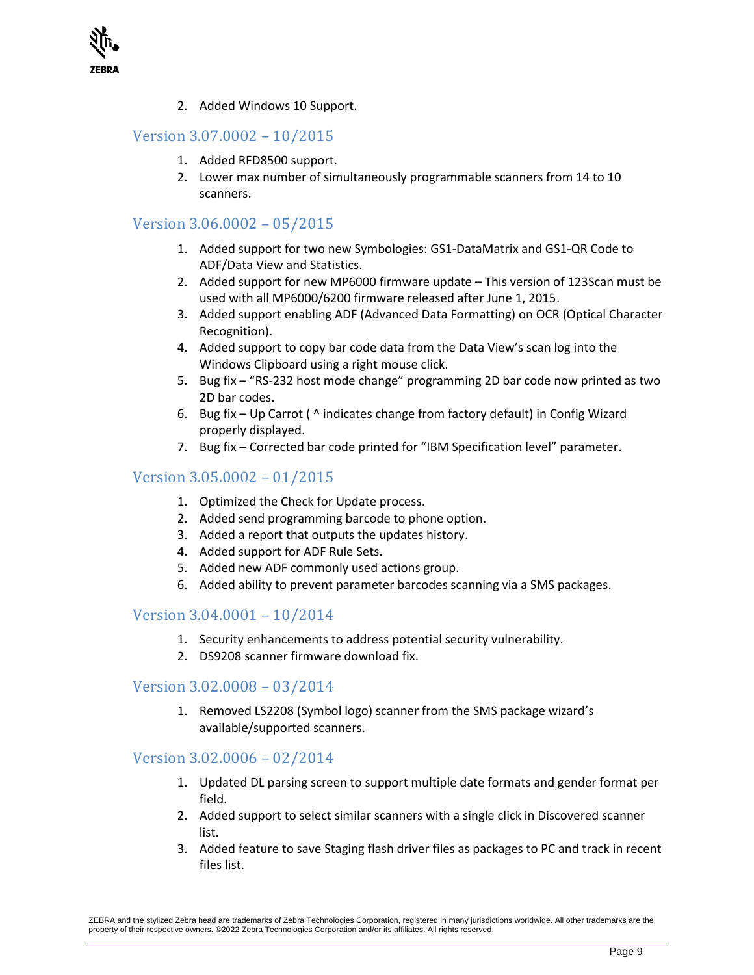

2. Added Windows 10 Support.

#### Version 3.07.0002 – 10/2015

- 1. Added RFD8500 support.
- 2. Lower max number of simultaneously programmable scanners from 14 to 10 scanners.

## Version 3.06.0002 – 05/2015

- 1. Added support for two new Symbologies: GS1-DataMatrix and GS1-QR Code to ADF/Data View and Statistics.
- 2. Added support for new MP6000 firmware update This version of 123Scan must be used with all MP6000/6200 firmware released after June 1, 2015.
- 3. Added support enabling ADF (Advanced Data Formatting) on OCR (Optical Character Recognition).
- 4. Added support to copy bar code data from the Data View's scan log into the Windows Clipboard using a right mouse click.
- 5. Bug fix "RS-232 host mode change" programming 2D bar code now printed as two 2D bar codes.
- 6. Bug fix Up Carrot ( ^ indicates change from factory default) in Config Wizard properly displayed.
- 7. Bug fix Corrected bar code printed for "IBM Specification level" parameter.

#### Version 3.05.0002 – 01/2015

- 1. Optimized the Check for Update process.
- 2. Added send programming barcode to phone option.
- 3. Added a report that outputs the updates history.
- 4. Added support for ADF Rule Sets.
- 5. Added new ADF commonly used actions group.
- 6. Added ability to prevent parameter barcodes scanning via a SMS packages.

#### Version 3.04.0001 – 10/2014

- 1. Security enhancements to address potential security vulnerability.
- 2. DS9208 scanner firmware download fix.

#### Version 3.02.0008 – 03/2014

1. Removed LS2208 (Symbol logo) scanner from the SMS package wizard's available/supported scanners.

#### Version 3.02.0006 – 02/2014

- 1. Updated DL parsing screen to support multiple date formats and gender format per field.
- 2. Added support to select similar scanners with a single click in Discovered scanner list.
- 3. Added feature to save Staging flash driver files as packages to PC and track in recent files list.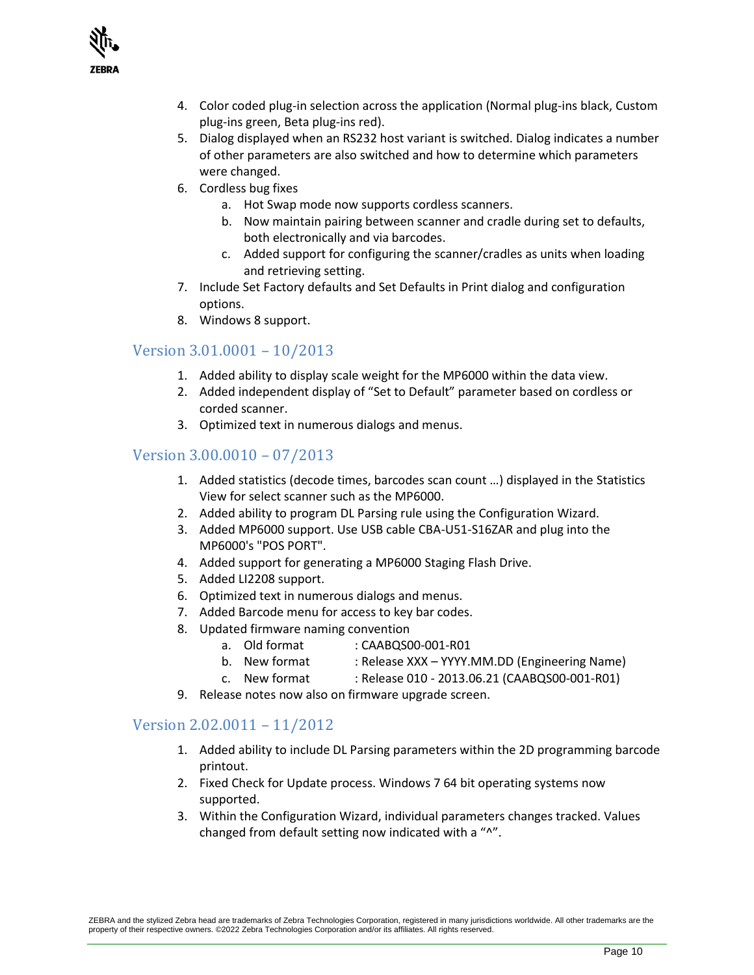

- 4. Color coded plug-in selection across the application (Normal plug-ins black, Custom plug-ins green, Beta plug-ins red).
- 5. Dialog displayed when an RS232 host variant is switched. Dialog indicates a number of other parameters are also switched and how to determine which parameters were changed.
- 6. Cordless bug fixes
	- a. Hot Swap mode now supports cordless scanners.
	- b. Now maintain pairing between scanner and cradle during set to defaults, both electronically and via barcodes.
	- c. Added support for configuring the scanner/cradles as units when loading and retrieving setting.
- 7. Include Set Factory defaults and Set Defaults in Print dialog and configuration options.
- 8. Windows 8 support.

## Version 3.01.0001 – 10/2013

- 1. Added ability to display scale weight for the MP6000 within the data view.
- 2. Added independent display of "Set to Default" parameter based on cordless or corded scanner.
- 3. Optimized text in numerous dialogs and menus.

#### Version 3.00.0010 – 07/2013

- 1. Added statistics (decode times, barcodes scan count …) displayed in the Statistics View for select scanner such as the MP6000.
- 2. Added ability to program DL Parsing rule using the Configuration Wizard.
- 3. Added MP6000 support. Use USB cable CBA-U51-S16ZAR and plug into the MP6000's "POS PORT".
- 4. Added support for generating a MP6000 Staging Flash Drive.
- 5. Added LI2208 support.
- 6. Optimized text in numerous dialogs and menus.
- 7. Added Barcode menu for access to key bar codes.
- 8. Updated firmware naming convention
	- a. Old format : CAABQS00-001-R01
	- b. New format : Release XXX YYYY.MM.DD (Engineering Name)
	- c. New format : Release 010 2013.06.21 (CAABQS00-001-R01)
- 9. Release notes now also on firmware upgrade screen.

#### Version 2.02.0011 – 11/2012

- 1. Added ability to include DL Parsing parameters within the 2D programming barcode printout.
- 2. Fixed Check for Update process. Windows 7 64 bit operating systems now supported.
- 3. Within the Configuration Wizard, individual parameters changes tracked. Values changed from default setting now indicated with a "^".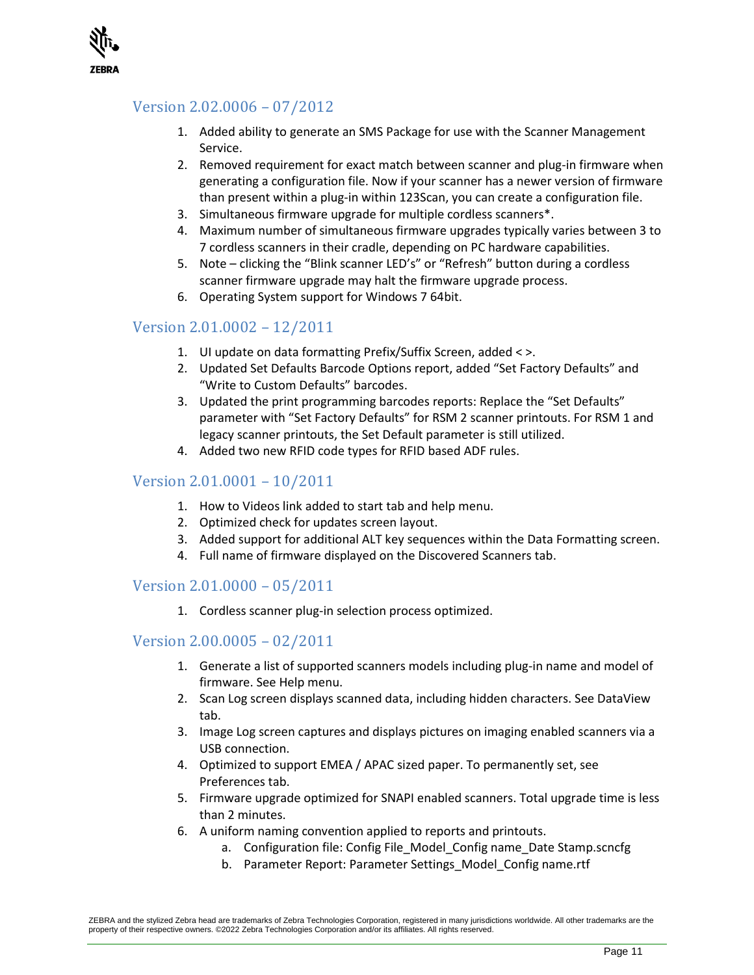

# Version 2.02.0006 – 07/2012

- 1. Added ability to generate an SMS Package for use with the Scanner Management Service.
- 2. Removed requirement for exact match between scanner and plug-in firmware when generating a configuration file. Now if your scanner has a newer version of firmware than present within a plug-in within 123Scan, you can create a configuration file.
- 3. Simultaneous firmware upgrade for multiple cordless scanners\*.
- 4. Maximum number of simultaneous firmware upgrades typically varies between 3 to 7 cordless scanners in their cradle, depending on PC hardware capabilities.
- 5. Note clicking the "Blink scanner LED's" or "Refresh" button during a cordless scanner firmware upgrade may halt the firmware upgrade process.
- 6. Operating System support for Windows 7 64bit.

# Version 2.01.0002 – 12/2011

- 1. UI update on data formatting Prefix/Suffix Screen, added < >.
- 2. Updated Set Defaults Barcode Options report, added "Set Factory Defaults" and "Write to Custom Defaults" barcodes.
- 3. Updated the print programming barcodes reports: Replace the "Set Defaults" parameter with "Set Factory Defaults" for RSM 2 scanner printouts. For RSM 1 and legacy scanner printouts, the Set Default parameter is still utilized.
- 4. Added two new RFID code types for RFID based ADF rules.

## Version 2.01.0001 – 10/2011

- 1. How to Videos link added to start tab and help menu.
- 2. Optimized check for updates screen layout.
- 3. Added support for additional ALT key sequences within the Data Formatting screen.
- 4. Full name of firmware displayed on the Discovered Scanners tab.

#### Version 2.01.0000 – 05/2011

1. Cordless scanner plug-in selection process optimized.

#### Version 2.00.0005 – 02/2011

- 1. Generate a list of supported scanners models including plug-in name and model of firmware. See Help menu.
- 2. Scan Log screen displays scanned data, including hidden characters. See DataView tab.
- 3. Image Log screen captures and displays pictures on imaging enabled scanners via a USB connection.
- 4. Optimized to support EMEA / APAC sized paper. To permanently set, see Preferences tab.
- 5. Firmware upgrade optimized for SNAPI enabled scanners. Total upgrade time is less than 2 minutes.
- 6. A uniform naming convention applied to reports and printouts.
	- a. Configuration file: Config File Model Config name Date Stamp.scncfg
	- b. Parameter Report: Parameter Settings\_Model\_Config name.rtf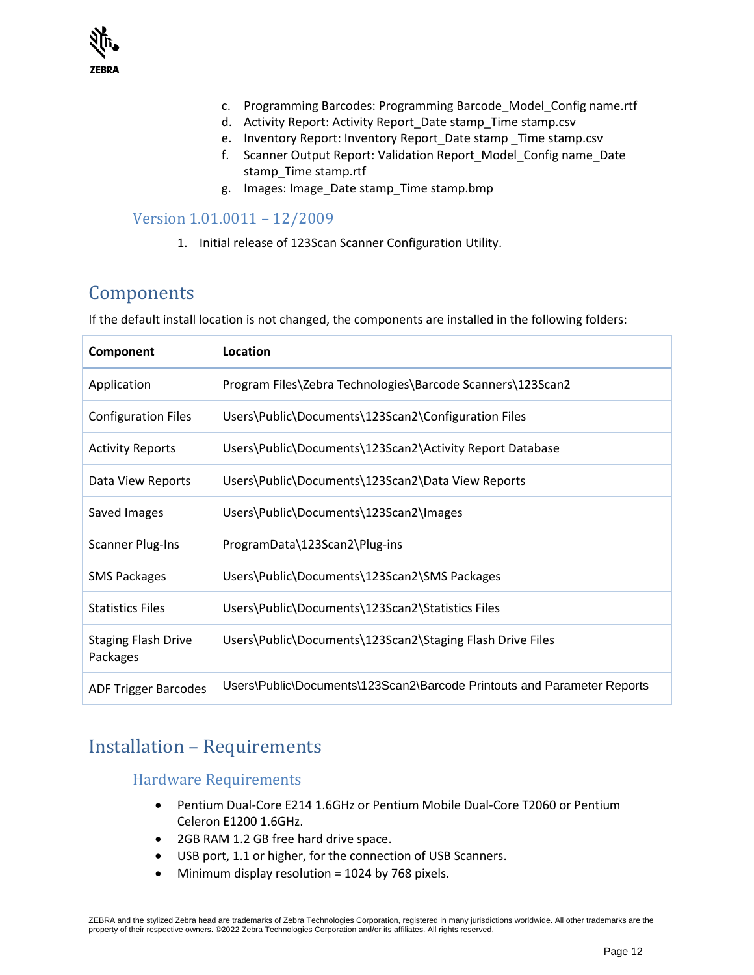

- c. Programming Barcodes: Programming Barcode\_Model\_Config name.rtf
- d. Activity Report: Activity Report\_Date stamp\_Time stamp.csv
- e. Inventory Report: Inventory Report Date stamp Time stamp.csv
- f. Scanner Output Report: Validation Report\_Model\_Config name\_Date stamp\_Time stamp.rtf
- g. Images: Image\_Date stamp\_Time stamp.bmp

#### Version 1.01.0011 – 12/2009

1. Initial release of 123Scan Scanner Configuration Utility.

# <span id="page-11-0"></span>Components

If the default install location is not changed, the components are installed in the following folders:

| Component                              | Location                                                                |
|----------------------------------------|-------------------------------------------------------------------------|
| Application                            | Program Files\Zebra Technologies\Barcode Scanners\123Scan2              |
| <b>Configuration Files</b>             | Users\Public\Documents\123Scan2\Configuration Files                     |
| <b>Activity Reports</b>                | Users\Public\Documents\123Scan2\Activity Report Database                |
| Data View Reports                      | Users\Public\Documents\123Scan2\Data View Reports                       |
| Saved Images                           | Users\Public\Documents\123Scan2\Images                                  |
| <b>Scanner Plug-Ins</b>                | ProgramData\123Scan2\Plug-ins                                           |
| <b>SMS Packages</b>                    | Users\Public\Documents\123Scan2\SMS Packages                            |
| <b>Statistics Files</b>                | Users\Public\Documents\123Scan2\Statistics Files                        |
| <b>Staging Flash Drive</b><br>Packages | Users\Public\Documents\123Scan2\Staging Flash Drive Files               |
| <b>ADF Trigger Barcodes</b>            | Users\Public\Documents\123Scan2\Barcode Printouts and Parameter Reports |

# <span id="page-11-1"></span>Installation – Requirements

Hardware Requirements

- Pentium Dual-Core E214 1.6GHz or Pentium Mobile Dual-Core T2060 or Pentium Celeron E1200 1.6GHz.
- 2GB RAM 1.2 GB free hard drive space.
- USB port, 1.1 or higher, for the connection of USB Scanners.
- Minimum display resolution = 1024 by 768 pixels.